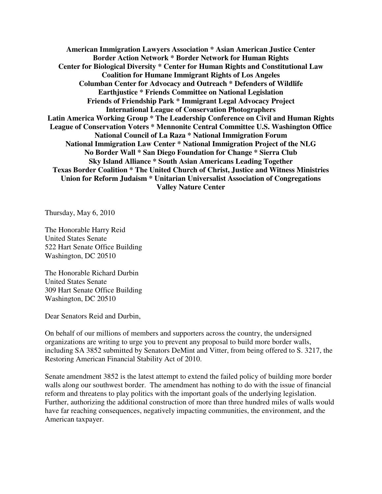**American Immigration Lawyers Association \* Asian American Justice Center Border Action Network \* Border Network for Human Rights Center for Biological Diversity \* Center for Human Rights and Constitutional Law Coalition for Humane Immigrant Rights of Los Angeles Columban Center for Advocacy and Outreach \* Defenders of Wildlife Earthjustice \* Friends Committee on National Legislation Friends of Friendship Park \* Immigrant Legal Advocacy Project International League of Conservation Photographers Latin America Working Group \* The Leadership Conference on Civil and Human Rights League of Conservation Voters \* Mennonite Central Committee U.S. Washington Office National Council of La Raza \* National Immigration Forum National Immigration Law Center \* National Immigration Project of the NLG No Border Wall \* San Diego Foundation for Change \* Sierra Club Sky Island Alliance \* South Asian Americans Leading Together Texas Border Coalition \* The United Church of Christ, Justice and Witness Ministries Union for Reform Judaism \* Unitarian Universalist Association of Congregations Valley Nature Center** 

Thursday, May 6, 2010

The Honorable Harry Reid United States Senate 522 Hart Senate Office Building Washington, DC 20510

The Honorable Richard Durbin United States Senate 309 Hart Senate Office Building Washington, DC 20510

Dear Senators Reid and Durbin,

On behalf of our millions of members and supporters across the country, the undersigned organizations are writing to urge you to prevent any proposal to build more border walls, including SA 3852 submitted by Senators DeMint and Vitter, from being offered to S. 3217, the Restoring American Financial Stability Act of 2010.

Senate amendment 3852 is the latest attempt to extend the failed policy of building more border walls along our southwest border. The amendment has nothing to do with the issue of financial reform and threatens to play politics with the important goals of the underlying legislation. Further, authorizing the additional construction of more than three hundred miles of walls would have far reaching consequences, negatively impacting communities, the environment, and the American taxpayer.